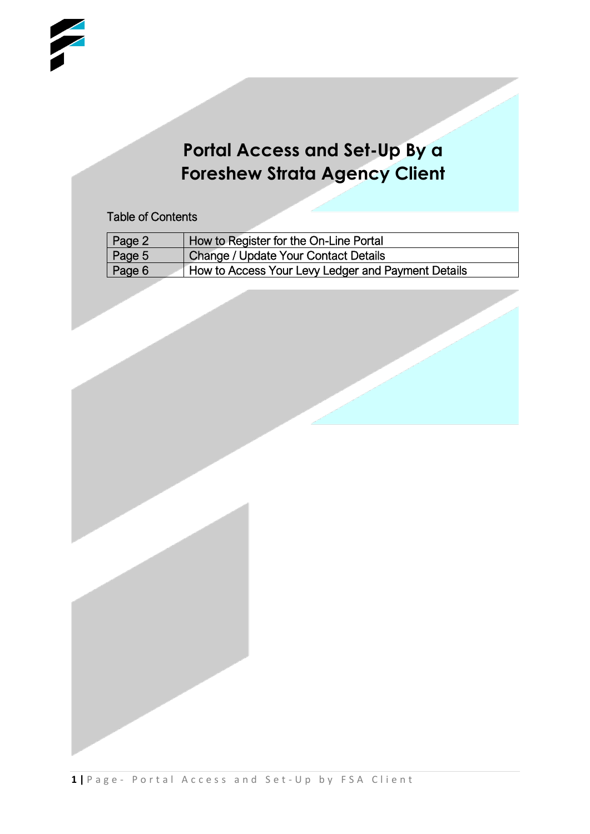## **Portal Access and Set-Up By a Foreshew Strata Agency Client**

Table of Contents

| Page 2 | How to Register for the On-Line Portal             |
|--------|----------------------------------------------------|
| Page 5 | Change / Update Your Contact Details               |
| Page 6 | How to Access Your Levy Ledger and Payment Details |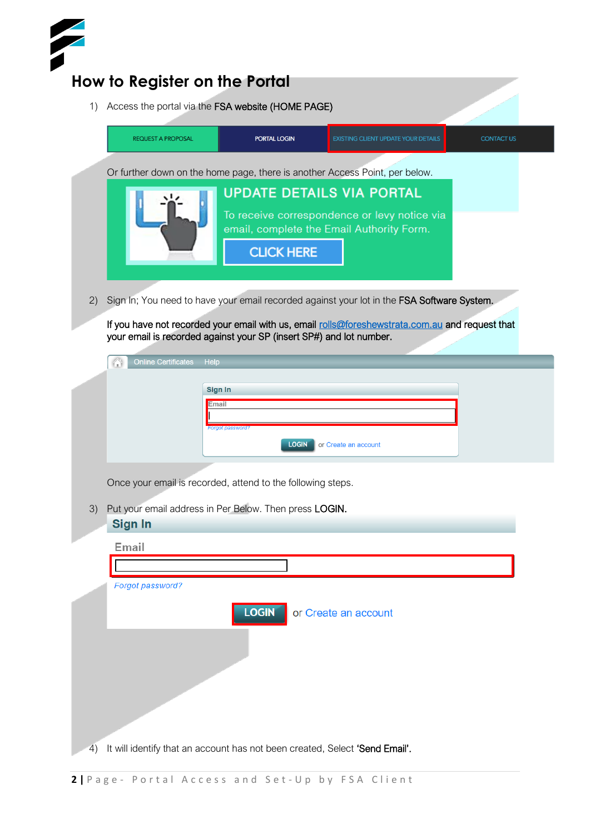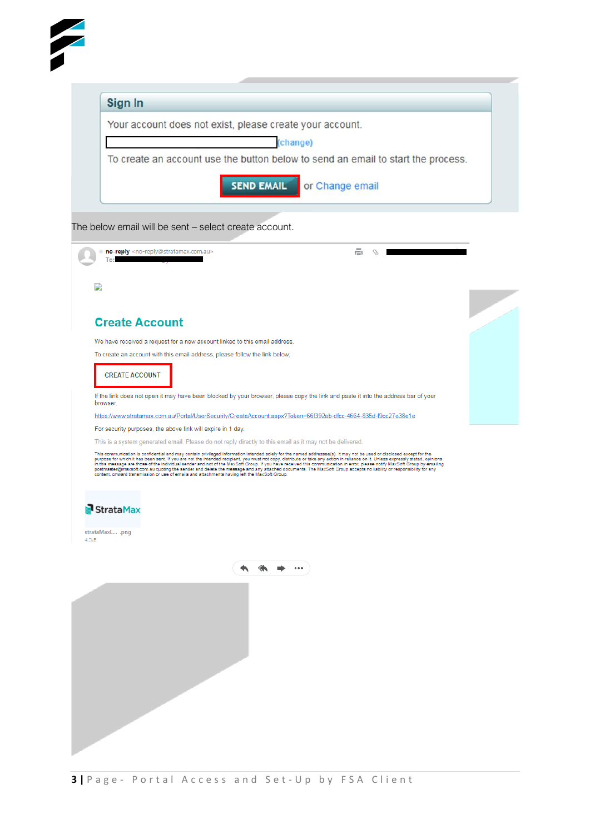| Sign In               |                                                                                                                                                                                                                                                                                                                                                                                                                                                                                                                                                                                                                                                                                                                                                                                                            |                                   |   |
|-----------------------|------------------------------------------------------------------------------------------------------------------------------------------------------------------------------------------------------------------------------------------------------------------------------------------------------------------------------------------------------------------------------------------------------------------------------------------------------------------------------------------------------------------------------------------------------------------------------------------------------------------------------------------------------------------------------------------------------------------------------------------------------------------------------------------------------------|-----------------------------------|---|
|                       | Your account does not exist, please create your account.                                                                                                                                                                                                                                                                                                                                                                                                                                                                                                                                                                                                                                                                                                                                                   |                                   |   |
|                       |                                                                                                                                                                                                                                                                                                                                                                                                                                                                                                                                                                                                                                                                                                                                                                                                            | change)                           |   |
|                       | To create an account use the button below to send an email to start the process.                                                                                                                                                                                                                                                                                                                                                                                                                                                                                                                                                                                                                                                                                                                           |                                   |   |
|                       |                                                                                                                                                                                                                                                                                                                                                                                                                                                                                                                                                                                                                                                                                                                                                                                                            | <b>SEND EMAIL</b> or Change email |   |
|                       | The below email will be sent - select create account.                                                                                                                                                                                                                                                                                                                                                                                                                                                                                                                                                                                                                                                                                                                                                      |                                   |   |
| Тο                    | no-reply <no-reply@stratamax.com.au></no-reply@stratamax.com.au>                                                                                                                                                                                                                                                                                                                                                                                                                                                                                                                                                                                                                                                                                                                                           |                                   | ē |
|                       |                                                                                                                                                                                                                                                                                                                                                                                                                                                                                                                                                                                                                                                                                                                                                                                                            |                                   |   |
| 9.                    |                                                                                                                                                                                                                                                                                                                                                                                                                                                                                                                                                                                                                                                                                                                                                                                                            |                                   |   |
|                       |                                                                                                                                                                                                                                                                                                                                                                                                                                                                                                                                                                                                                                                                                                                                                                                                            |                                   |   |
| <b>Create Account</b> |                                                                                                                                                                                                                                                                                                                                                                                                                                                                                                                                                                                                                                                                                                                                                                                                            |                                   |   |
|                       | We have received a request for a new account linked to this email address.                                                                                                                                                                                                                                                                                                                                                                                                                                                                                                                                                                                                                                                                                                                                 |                                   |   |
|                       | To create an account with this email address, please follow the link below;                                                                                                                                                                                                                                                                                                                                                                                                                                                                                                                                                                                                                                                                                                                                |                                   |   |
| <b>CREATE ACCOUNT</b> |                                                                                                                                                                                                                                                                                                                                                                                                                                                                                                                                                                                                                                                                                                                                                                                                            |                                   |   |
|                       | If the link does not open it may have been blocked by your browser, please copy the link and paste it into the address bar of your                                                                                                                                                                                                                                                                                                                                                                                                                                                                                                                                                                                                                                                                         |                                   |   |
| browser.              |                                                                                                                                                                                                                                                                                                                                                                                                                                                                                                                                                                                                                                                                                                                                                                                                            |                                   |   |
|                       | https://www.stratamax.com.au/Portal/UserSecurity/CreateAccount.aspx?Token=66f392ab-dfcc-4664-835d-f9cc27e38e1e<br>For security purposes, the above link will expire in 1 day.                                                                                                                                                                                                                                                                                                                                                                                                                                                                                                                                                                                                                              |                                   |   |
|                       | This is a system generated email. Please do not reply directly to this email as it may not be delivered.                                                                                                                                                                                                                                                                                                                                                                                                                                                                                                                                                                                                                                                                                                   |                                   |   |
|                       | This communication is confidential and may contain privileged information intended solely for the named addressee(s). It may not be used or disclosed except for the<br>purpose for which it has been sent. If you are not the intended recipient, you must not copy, distribute or take any action in reliance on it. Unless expressly stated, opinions<br>in this message are those of the individual sender and not of the MaxSoft Group. If you have received this communication in error, please notify MaxSoft Group by emailing<br>postmaster@maxsoft.com.au quoting the sender and delete the message and any attached documents. The MaxSoft Group accepts no liability or responsibility for any<br>content, onward transmission or use of emails and attachments having left the MaxSoft Group. |                                   |   |
| StrataMax             |                                                                                                                                                                                                                                                                                                                                                                                                                                                                                                                                                                                                                                                                                                                                                                                                            |                                   |   |
| strataMaxL .png       |                                                                                                                                                                                                                                                                                                                                                                                                                                                                                                                                                                                                                                                                                                                                                                                                            |                                   |   |
| 4.2kB                 |                                                                                                                                                                                                                                                                                                                                                                                                                                                                                                                                                                                                                                                                                                                                                                                                            |                                   |   |
|                       |                                                                                                                                                                                                                                                                                                                                                                                                                                                                                                                                                                                                                                                                                                                                                                                                            |                                   |   |
|                       |                                                                                                                                                                                                                                                                                                                                                                                                                                                                                                                                                                                                                                                                                                                                                                                                            |                                   |   |
|                       |                                                                                                                                                                                                                                                                                                                                                                                                                                                                                                                                                                                                                                                                                                                                                                                                            |                                   |   |
|                       |                                                                                                                                                                                                                                                                                                                                                                                                                                                                                                                                                                                                                                                                                                                                                                                                            |                                   |   |
|                       |                                                                                                                                                                                                                                                                                                                                                                                                                                                                                                                                                                                                                                                                                                                                                                                                            |                                   |   |
|                       |                                                                                                                                                                                                                                                                                                                                                                                                                                                                                                                                                                                                                                                                                                                                                                                                            |                                   |   |
|                       |                                                                                                                                                                                                                                                                                                                                                                                                                                                                                                                                                                                                                                                                                                                                                                                                            |                                   |   |
|                       |                                                                                                                                                                                                                                                                                                                                                                                                                                                                                                                                                                                                                                                                                                                                                                                                            |                                   |   |
|                       |                                                                                                                                                                                                                                                                                                                                                                                                                                                                                                                                                                                                                                                                                                                                                                                                            |                                   |   |
|                       |                                                                                                                                                                                                                                                                                                                                                                                                                                                                                                                                                                                                                                                                                                                                                                                                            |                                   |   |
|                       |                                                                                                                                                                                                                                                                                                                                                                                                                                                                                                                                                                                                                                                                                                                                                                                                            |                                   |   |
|                       |                                                                                                                                                                                                                                                                                                                                                                                                                                                                                                                                                                                                                                                                                                                                                                                                            |                                   |   |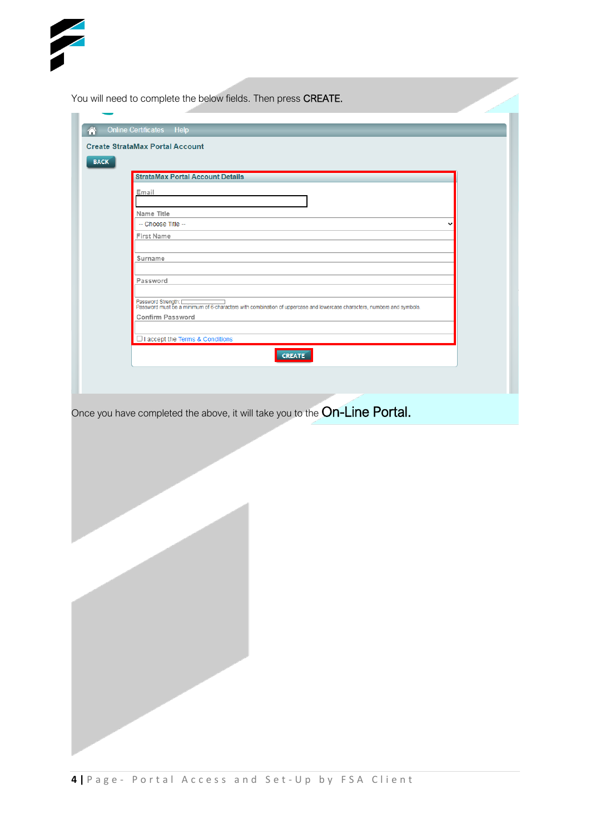|             | <b>Create StrataMax Portal Account</b>                                                                                                                                   |
|-------------|--------------------------------------------------------------------------------------------------------------------------------------------------------------------------|
| <b>BACK</b> | <b>StrataMax Portal Account Details</b>                                                                                                                                  |
|             | Email                                                                                                                                                                    |
|             | Name Title                                                                                                                                                               |
|             | -- Choose Title --                                                                                                                                                       |
|             | <b>First Name</b>                                                                                                                                                        |
|             | Surname                                                                                                                                                                  |
|             |                                                                                                                                                                          |
|             | Password                                                                                                                                                                 |
|             | Password Strength: [www.communitylensess] Password Password Strength Password Strength Password must be a minimum of 6-characters with combination of personal asymbols. |
|             | Confirm Password                                                                                                                                                         |
|             | □ I accept the Terms & Conditions                                                                                                                                        |
|             | CREATE                                                                                                                                                                   |
|             | Once you have completed the above, it will take you to the On-Line Portal.                                                                                               |
|             |                                                                                                                                                                          |
|             |                                                                                                                                                                          |
|             |                                                                                                                                                                          |
|             |                                                                                                                                                                          |
|             |                                                                                                                                                                          |
|             |                                                                                                                                                                          |
|             |                                                                                                                                                                          |
|             |                                                                                                                                                                          |
|             |                                                                                                                                                                          |
|             |                                                                                                                                                                          |
|             |                                                                                                                                                                          |
|             |                                                                                                                                                                          |
|             |                                                                                                                                                                          |
|             |                                                                                                                                                                          |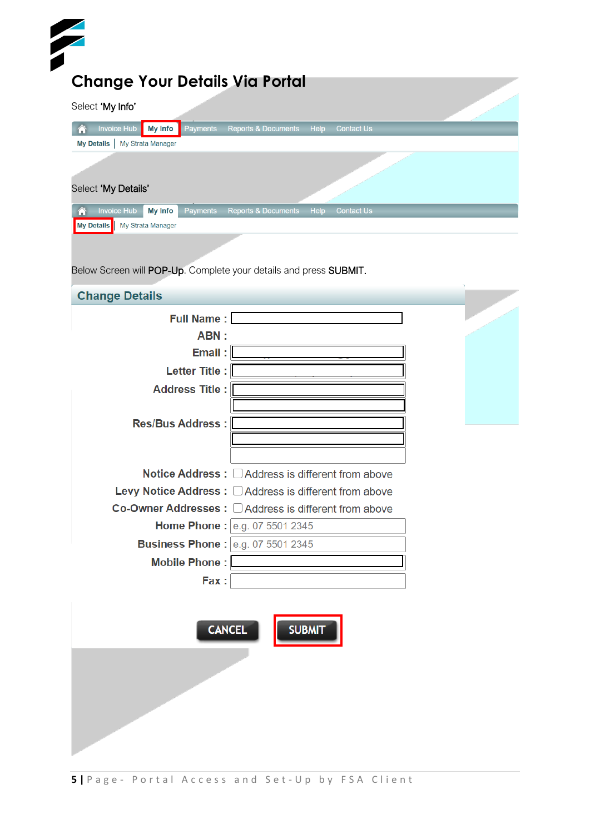| Select 'My Info'                                                                   |                                                                   |  |
|------------------------------------------------------------------------------------|-------------------------------------------------------------------|--|
| <b>Invoice Hub</b><br><b>My Info</b><br>Payments<br>My Details   My Strata Manager | <b>Reports &amp; Documents</b><br>Help<br><b>Contact Us</b>       |  |
|                                                                                    |                                                                   |  |
| Select 'My Details'                                                                |                                                                   |  |
| <b>Invoice Hub</b><br>Payments<br>谷<br><b>My Info</b>                              | Help<br><b>Reports &amp; Documents</b><br><b>Contact Us</b>       |  |
| My Details   My Strata Manager                                                     |                                                                   |  |
|                                                                                    |                                                                   |  |
|                                                                                    | Below Screen will POP-Up. Complete your details and press SUBMIT. |  |
|                                                                                    |                                                                   |  |
| <b>Change Details</b>                                                              |                                                                   |  |
| <b>Full Name:</b>                                                                  |                                                                   |  |
| ABN:                                                                               |                                                                   |  |
| Email:                                                                             |                                                                   |  |
| Letter Title :                                                                     |                                                                   |  |
| <b>Address Title:</b>                                                              |                                                                   |  |
|                                                                                    |                                                                   |  |
| <b>Res/Bus Address:</b>                                                            |                                                                   |  |
|                                                                                    |                                                                   |  |
|                                                                                    | Notice Address : □ Address is different from above                |  |
|                                                                                    | Levy Notice Address: C Address is different from above            |  |
|                                                                                    | Co-Owner Addresses : □ Address is different from above            |  |
|                                                                                    | Home Phone : e.g. 07 5501 2345                                    |  |
|                                                                                    | <b>Business Phone: e.g. 07 5501 2345</b>                          |  |
| Mobile Phone:                                                                      |                                                                   |  |
| Fax:                                                                               |                                                                   |  |
|                                                                                    |                                                                   |  |
|                                                                                    |                                                                   |  |
|                                                                                    | <b>CANCEL</b><br><b>SUBMIT</b>                                    |  |
|                                                                                    |                                                                   |  |
|                                                                                    |                                                                   |  |
|                                                                                    |                                                                   |  |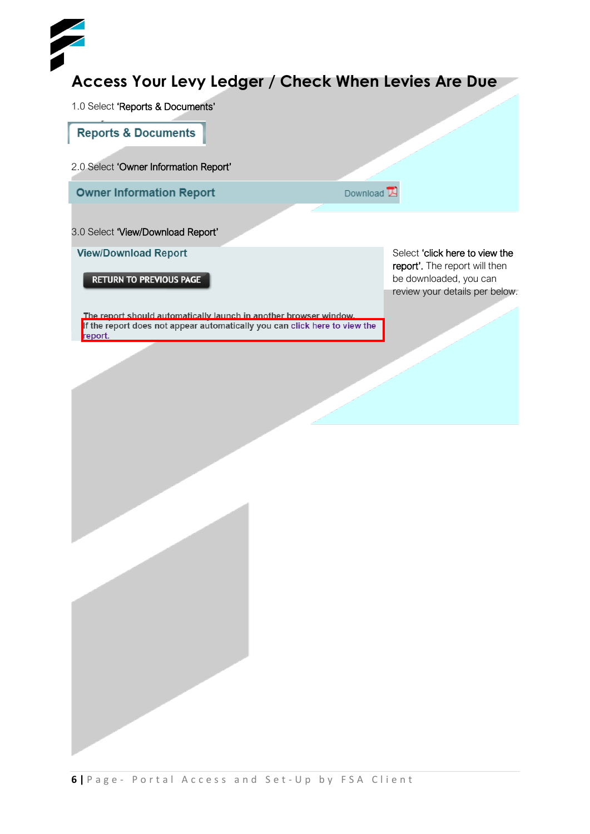## **Access Your Levy Ledger / Check When Levies Are Due**

1.0 Select 'Reports & Documents'

**Reports & Documents** 

2.0 Select 'Owner Information Report'

**Owner Information Report** 

Download L

## 3.0 Select 'View/Download Report'

**View/Download Report** 

**RETURN TO PREVIOUS PAGE** 

Select 'click here to view the report'. The report will then be downloaded, you can review your details per below.

The report should automatically launch in another browser window.<br>If the report does not appear automatically you can click here to view the report.